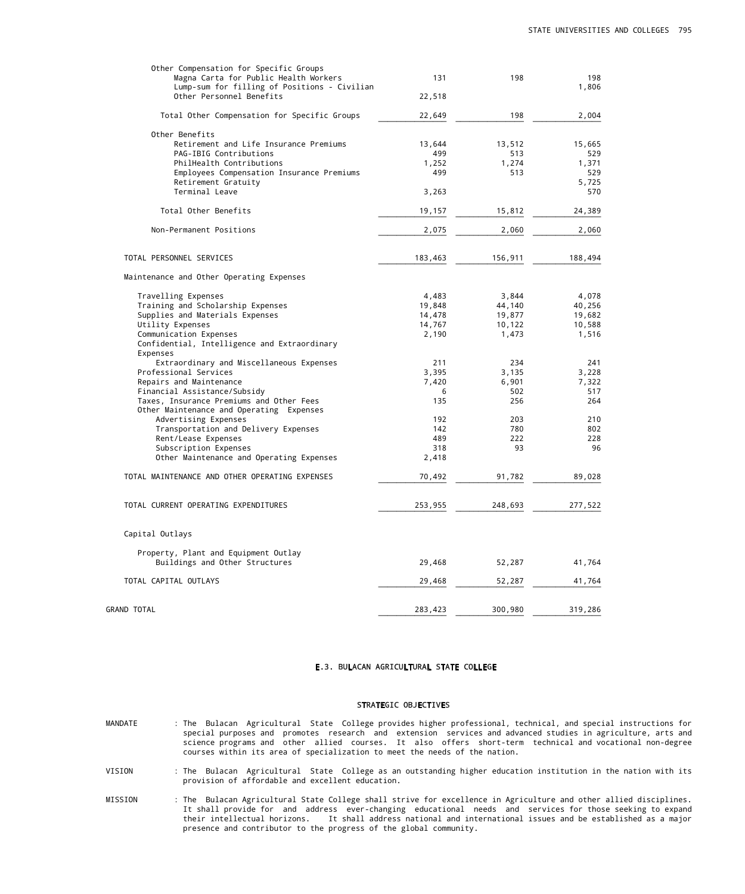#### E.3. BULACAN AGRICULTURAL STATE COLLEGE

#### STRATEGIC OBJECTIVES

- MANDATE : The Bulacan Agricultural State College provides higher professional, technical, and special instructions for special purposes and promotes research and extension services and advanced studies in agriculture, arts and science programs and other allied courses. It also offers short-term technical and vocational non-degree courses within its area of specialization to meet the needs of the nation.
- VISION : The Bulacan Agricultural State College as an outstanding higher education institution in the nation with its provision of affordable and excellent education.
- MISSION : The Bulacan Agricultural State College shall strive for excellence in Agriculture and other allied disciplines. It shall provide for and address ever-changing educational needs and services for those seeking to expand their intellectual horizons. It shall address national and international issues and be established as a major presence and contributor to the progress of the global community.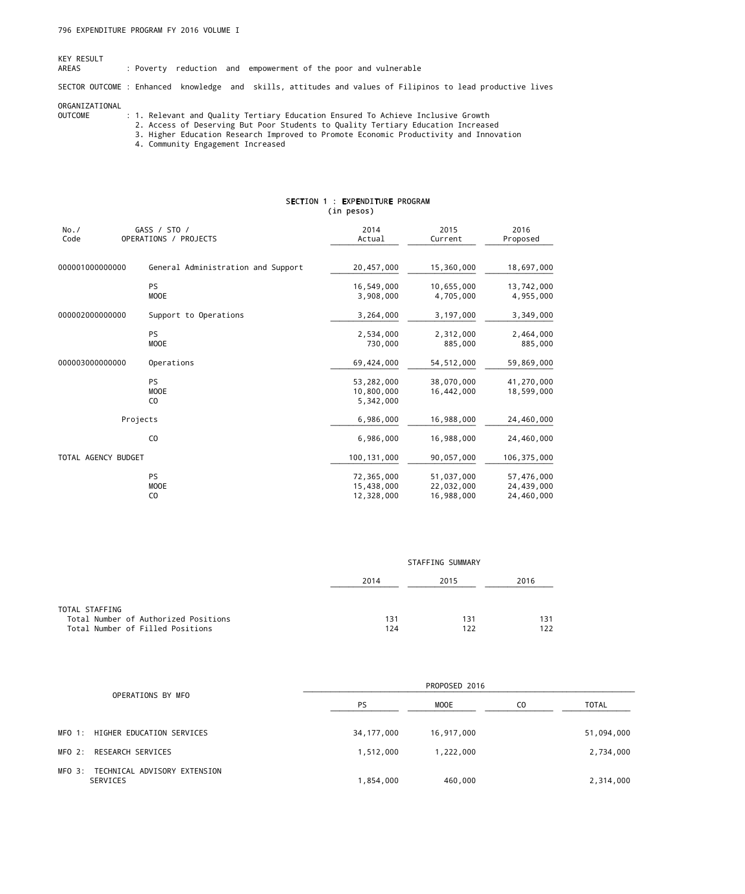# KEY RESULT<br>AREAS

: Poverty reduction and empowerment of the poor and vulnerable

SECTOR OUTCOME : Enhanced knowledge and skills, attitudes and values of Filipinos to lead productive lives

#### ORGANIZATIONAL

- OUTCOME : 1. Relevant and Quality Tertiary Education Ensured To Achieve Inclusive Growth
- 2. Access of Deserving But Poor Students to Quality Tertiary Education Increased
	- 3. Higher Education Research Improved to Promote Economic Productivity and Innovation
	- 4. Community Engagement Increased

## SECTION 1 : EXPENDITURE PROGRAM (in pesos)

| No. /<br>Code       | GASS / STO /<br>OPERATIONS / PROJECTS      | 2014<br>Actual                         | 2015<br>Current                        | 2016<br>Proposed                       |
|---------------------|--------------------------------------------|----------------------------------------|----------------------------------------|----------------------------------------|
| 000001000000000     | General Administration and Support         | 20,457,000                             | 15,360,000                             | 18,697,000                             |
|                     | <b>PS</b><br>MOOE                          | 16,549,000<br>3,908,000                | 10,655,000<br>4,705,000                | 13,742,000<br>4,955,000                |
| 000002000000000     | Support to Operations                      | 3,264,000                              | 3,197,000                              | 3,349,000                              |
|                     | PS<br><b>MOOE</b>                          | 2,534,000<br>730,000                   | 2,312,000<br>885,000                   | 2,464,000<br>885,000                   |
| 000003000000000     | Operations                                 | 69,424,000                             | 54, 512, 000                           | 59,869,000                             |
|                     | PS<br><b>MOOE</b><br>C <sub>0</sub>        | 53,282,000<br>10,800,000<br>5,342,000  | 38,070,000<br>16,442,000               | 41,270,000<br>18,599,000               |
|                     | Projects                                   | 6,986,000                              | 16,988,000                             | 24,460,000                             |
|                     | C <sub>0</sub>                             | 6,986,000                              | 16,988,000                             | 24,460,000                             |
| TOTAL AGENCY BUDGET |                                            | 100, 131, 000                          | 90,057,000                             | 106, 375, 000                          |
|                     | <b>PS</b><br><b>MOOE</b><br>C <sub>0</sub> | 72,365,000<br>15,438,000<br>12,328,000 | 51,037,000<br>22,032,000<br>16,988,000 | 57,476,000<br>24,439,000<br>24,460,000 |

|                                                                                            | STAFFING SUMMARY |            |            |  |  |
|--------------------------------------------------------------------------------------------|------------------|------------|------------|--|--|
|                                                                                            | 2014             | 2015       | 2016       |  |  |
| TOTAL STAFFING<br>Total Number of Authorized Positions<br>Total Number of Filled Positions | 131<br>124       | 131<br>122 | 131<br>122 |  |  |

|        |                                          | PROPOSED 2016 |            |                |              |  |  |
|--------|------------------------------------------|---------------|------------|----------------|--------------|--|--|
|        | OPERATIONS BY MFO                        | PS            | MOOE       | C <sub>0</sub> | <b>TOTAL</b> |  |  |
|        | MFO 1: HIGHER EDUCATION SERVICES         | 34,177,000    | 16,917,000 |                | 51,094,000   |  |  |
| MFO 2: | RESEARCH SERVICES                        | 1,512,000     | 1,222,000  |                | 2,734,000    |  |  |
| MFO 3: | TECHNICAL ADVISORY EXTENSION<br>SERVICES | 1,854,000     | 460,000    |                | 2,314,000    |  |  |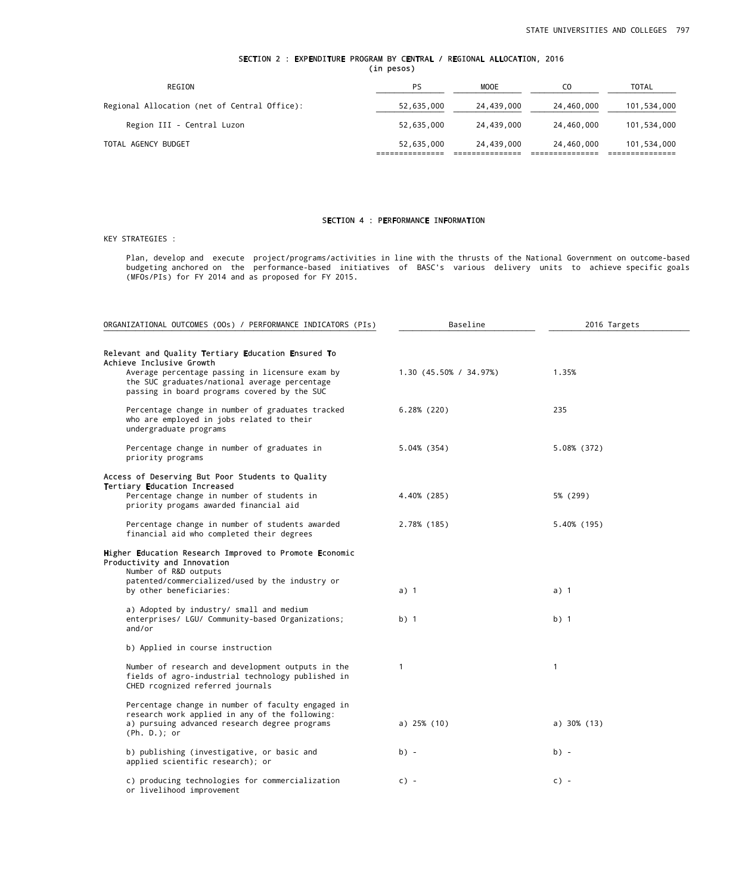## SECTION 2 : EXPENDITURE PROGRAM BY CENTRAL / REGIONAL ALLOCATION, 2016 (in pesos)

| REGION                                       | PS         | <b>MOOE</b> | CO.        | <b>TOTAL</b> |
|----------------------------------------------|------------|-------------|------------|--------------|
| Regional Allocation (net of Central Office): | 52,635,000 | 24,439,000  | 24,460,000 | 101,534,000  |
| Region III - Central Luzon                   | 52,635,000 | 24,439,000  | 24,460,000 | 101,534,000  |
| TOTAL AGENCY BUDGET                          | 52,635,000 | 24,439,000  | 24,460,000 | 101,534,000  |

## SECTION 4 : PERFORMANCE INFORMATION

### KEY STRATEGIES :

 Plan, develop and execute project/programs/activities in line with the thrusts of the National Government on outcome-based budgeting anchored on the performance-based initiatives of BASC's various delivery units to achieve specific goals (MFOs/PIs) for FY 2014 and as proposed for FY 2015.

| ORGANIZATIONAL OUTCOMES (OOs) / PERFORMANCE INDICATORS (PIs)                                                                                                         | Baseline               | 2016 Targets   |
|----------------------------------------------------------------------------------------------------------------------------------------------------------------------|------------------------|----------------|
| Relevant and Quality Tertiary Education Ensured To<br>Achieve Inclusive Growth                                                                                       |                        |                |
| Average percentage passing in licensure exam by<br>the SUC graduates/national average percentage<br>passing in board programs covered by the SUC                     | 1.30 (45.50% / 34.97%) | 1.35%          |
| Percentage change in number of graduates tracked<br>who are employed in jobs related to their<br>undergraduate programs                                              | $6.28\%$ (220)         | 235            |
| Percentage change in number of graduates in<br>priority programs                                                                                                     | 5.04% (354)            | 5.08% (372)    |
| Access of Deserving But Poor Students to Quality                                                                                                                     |                        |                |
| <b>Tertiary Education Increased</b><br>Percentage change in number of students in<br>priority progams awarded financial aid                                          | 4,40% (285)            | 5% (299)       |
| Percentage change in number of students awarded<br>financial aid who completed their degrees                                                                         | 2.78% (185)            | 5.40% (195)    |
| Higher Education Research Improved to Promote Economic<br>Productivity and Innovation<br>Number of R&D outputs                                                       |                        |                |
| patented/commercialized/used by the industry or<br>by other beneficiaries:                                                                                           | a) 1                   | a) 1           |
| a) Adopted by industry/ small and medium<br>enterprises/ LGU/ Community-based Organizations;<br>and/or                                                               | $b)$ 1                 | $b)$ 1         |
| b) Applied in course instruction                                                                                                                                     |                        |                |
| Number of research and development outputs in the<br>fields of agro-industrial technology published in<br>CHED rcognized referred journals                           | 1                      | 1              |
| Percentage change in number of faculty engaged in<br>research work applied in any of the following:<br>a) pursuing advanced research degree programs<br>(Ph. D.); or | a) $25\%$ (10)         | a) $30\%$ (13) |
| b) publishing (investigative, or basic and<br>applied scientific research); or                                                                                       | $b) -$                 | $b) -$         |
| c) producing technologies for commercialization<br>or livelihood improvement                                                                                         | $c$ ) -                | $c) -$         |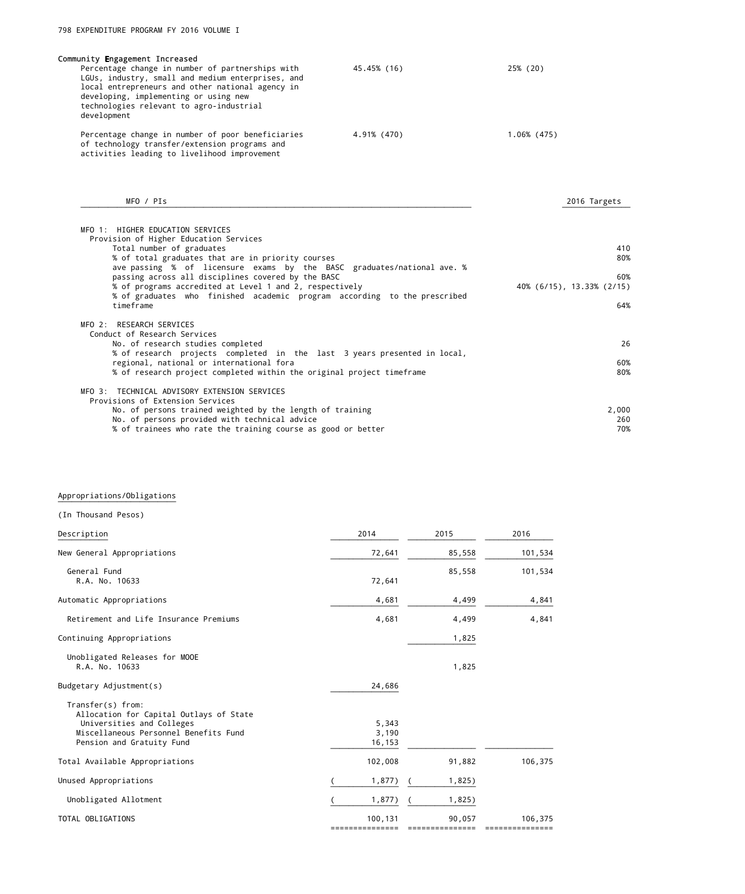| Community Engagement Increased<br>Percentage change in number of partnerships with<br>LGUs, industry, small and medium enterprises, and<br>local entrepreneurs and other national agency in<br>developing, implementing or using new<br>technologies relevant to agro-industrial<br>development | 45.45% (16) | 25% (20)    |  |
|-------------------------------------------------------------------------------------------------------------------------------------------------------------------------------------------------------------------------------------------------------------------------------------------------|-------------|-------------|--|
| Percentage change in number of poor beneficiaries<br>of technology transfer/extension programs and<br>activities leading to livelihood improvement                                                                                                                                              | 4.91% (470) | 1.06% (475) |  |

| MFO / PIs                                                                | 2016 Targets              |
|--------------------------------------------------------------------------|---------------------------|
| MFO 1: HIGHER EDUCATION SERVICES                                         |                           |
| Provision of Higher Education Services                                   |                           |
| Total number of graduates                                                | 410                       |
| % of total graduates that are in priority courses                        | 80%                       |
| ave passing % of licensure exams by the BASC graduates/national ave. %   |                           |
| passing across all disciplines covered by the BASC                       | 60%                       |
| % of programs accredited at Level 1 and 2, respectively                  | 40% (6/15), 13.33% (2/15) |
| % of graduates who finished academic program according to the prescribed |                           |
| timeframe                                                                | 64%                       |
|                                                                          |                           |
| MFO 2: RESEARCH SERVICES                                                 |                           |
| Conduct of Research Services                                             |                           |
| No. of research studies completed                                        | 26                        |
| % of research projects completed in the last 3 years presented in local, |                           |
| regional, national or international fora                                 | 60%                       |
| % of research project completed within the original project timeframe    | 80%                       |
|                                                                          |                           |
| MFO 3: TECHNICAL ADVISORY EXTENSION SERVICES                             |                           |
| Provisions of Extension Services                                         |                           |
| No. of persons trained weighted by the length of training                | 2,000                     |
| No. of persons provided with technical advice                            | 260                       |
| % of trainees who rate the training course as good or better             | 70%                       |
|                                                                          |                           |

### Appropriations/Obligations ¯¯¯¯¯¯¯¯¯¯¯¯¯¯¯¯¯¯¯¯¯¯¯¯¯¯

| (In Thousand Pesos)                                                                                                                                             |                          |        |         |
|-----------------------------------------------------------------------------------------------------------------------------------------------------------------|--------------------------|--------|---------|
| Description                                                                                                                                                     | 2014                     | 2015   | 2016    |
| New General Appropriations                                                                                                                                      | 72,641                   | 85,558 | 101,534 |
| General Fund<br>R.A. No. 10633                                                                                                                                  | 72,641                   | 85,558 | 101,534 |
| Automatic Appropriations                                                                                                                                        | 4,681                    | 4,499  | 4,841   |
| Retirement and Life Insurance Premiums                                                                                                                          | 4,681                    | 4,499  | 4,841   |
| Continuing Appropriations                                                                                                                                       |                          | 1,825  |         |
| Unobligated Releases for MOOE<br>R.A. No. 10633                                                                                                                 |                          | 1,825  |         |
| Budgetary Adjustment(s)                                                                                                                                         | 24,686                   |        |         |
| Transfer(s) from:<br>Allocation for Capital Outlays of State<br>Universities and Colleges<br>Miscellaneous Personnel Benefits Fund<br>Pension and Gratuity Fund | 5,343<br>3,190<br>16,153 |        |         |
| Total Available Appropriations                                                                                                                                  | 102,008                  | 91,882 | 106,375 |
| Unused Appropriations                                                                                                                                           | 1,877)                   | 1,825) |         |
| Unobligated Allotment                                                                                                                                           | 1,877)                   | 1,825) |         |
| TOTAL OBLIGATIONS                                                                                                                                               | 100,131<br>============  | 90,057 | 106,375 |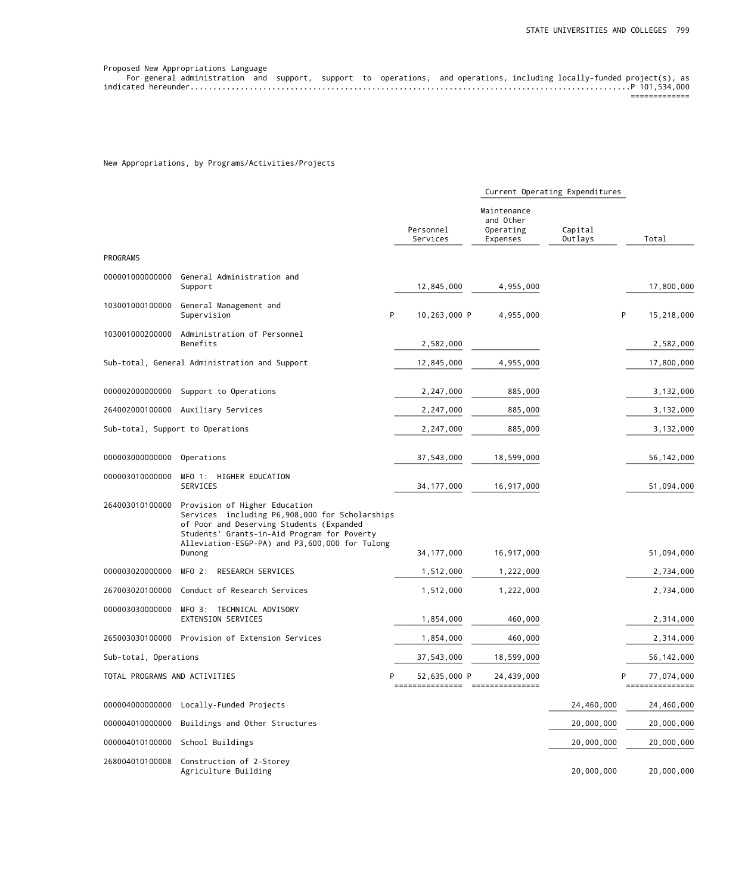| Proposed New Appropriations Language                                                                                   |  |  |  |  |  |
|------------------------------------------------------------------------------------------------------------------------|--|--|--|--|--|
| For general administration and support, support to operations, and operations, including locally-funded project(s), as |  |  |  |  |  |
|                                                                                                                        |  |  |  |  |  |
|                                                                                                                        |  |  |  |  |  |

## New Appropriations, by Programs/Activities/Projects

|                               |                                                                                                                                                                                                                                        |                                |                                                   | Current Operating Expenditures |                               |
|-------------------------------|----------------------------------------------------------------------------------------------------------------------------------------------------------------------------------------------------------------------------------------|--------------------------------|---------------------------------------------------|--------------------------------|-------------------------------|
|                               |                                                                                                                                                                                                                                        | Personnel<br>Services          | Maintenance<br>and Other<br>Operating<br>Expenses | Capital<br>Outlays             | Total                         |
| PROGRAMS                      |                                                                                                                                                                                                                                        |                                |                                                   |                                |                               |
| 000001000000000               | General Administration and<br>Support                                                                                                                                                                                                  | 12,845,000                     | 4,955,000                                         |                                | 17,800,000                    |
| 103001000100000               | General Management and<br>Supervision<br>P                                                                                                                                                                                             | 10,263,000 P                   | 4,955,000                                         | P                              | 15,218,000                    |
| 103001000200000               | Administration of Personnel<br>Benefits                                                                                                                                                                                                | 2,582,000                      |                                                   |                                | 2,582,000                     |
|                               | Sub-total, General Administration and Support                                                                                                                                                                                          | 12,845,000                     | 4,955,000                                         |                                | 17,800,000                    |
| 000002000000000               | Support to Operations                                                                                                                                                                                                                  | 2,247,000                      | 885,000                                           |                                | 3,132,000                     |
|                               | 264002000100000 Auxiliary Services                                                                                                                                                                                                     | 2,247,000                      | 885,000                                           |                                | 3,132,000                     |
|                               | Sub-total, Support to Operations                                                                                                                                                                                                       | 2,247,000                      | 885,000                                           |                                | 3,132,000                     |
| 000003000000000               | Operations                                                                                                                                                                                                                             | 37,543,000                     | 18,599,000                                        |                                | 56, 142, 000                  |
| 000003010000000               | MFO 1: HIGHER EDUCATION<br>SERVICES                                                                                                                                                                                                    | 34, 177, 000                   | 16,917,000                                        |                                | 51,094,000                    |
| 264003010100000               | Provision of Higher Education<br>Services including P6,908,000 for Scholarships<br>of Poor and Deserving Students (Expanded<br>Students' Grants-in-Aid Program for Poverty<br>Alleviation-ESGP-PA) and P3,600,000 for Tulong<br>Dunong | 34, 177, 000                   | 16,917,000                                        |                                | 51,094,000                    |
| 000003020000000               | MFO 2:<br>RESEARCH SERVICES                                                                                                                                                                                                            | 1,512,000                      | 1,222,000                                         |                                | 2,734,000                     |
| 267003020100000               | Conduct of Research Services                                                                                                                                                                                                           | 1,512,000                      | 1,222,000                                         |                                | 2,734,000                     |
| 000003030000000               | MFO 3: TECHNICAL ADVISORY<br>EXTENSION SERVICES                                                                                                                                                                                        | 1,854,000                      | 460,000                                           |                                | 2,314,000                     |
| 265003030100000               | Provision of Extension Services                                                                                                                                                                                                        | 1,854,000                      | 460,000                                           |                                | 2,314,000                     |
| Sub-total, Operations         |                                                                                                                                                                                                                                        | 37,543,000                     | 18,599,000                                        |                                | 56, 142, 000                  |
| TOTAL PROGRAMS AND ACTIVITIES | P                                                                                                                                                                                                                                      | 52,635,000 P<br>============== | 24,439,000<br>----------------                    | P                              | 77,074,000<br>--------------- |
| 000004000000000               | Locally-Funded Projects                                                                                                                                                                                                                |                                |                                                   | 24,460,000                     | 24,460,000                    |
| 000004010000000               | Buildings and Other Structures                                                                                                                                                                                                         |                                |                                                   | 20,000,000                     | 20,000,000                    |
| 000004010100000               | School Buildings                                                                                                                                                                                                                       |                                |                                                   | 20,000,000                     | 20,000,000                    |
| 268004010100008               | Construction of 2-Storey<br>Agriculture Building                                                                                                                                                                                       |                                |                                                   | 20,000,000                     | 20,000,000                    |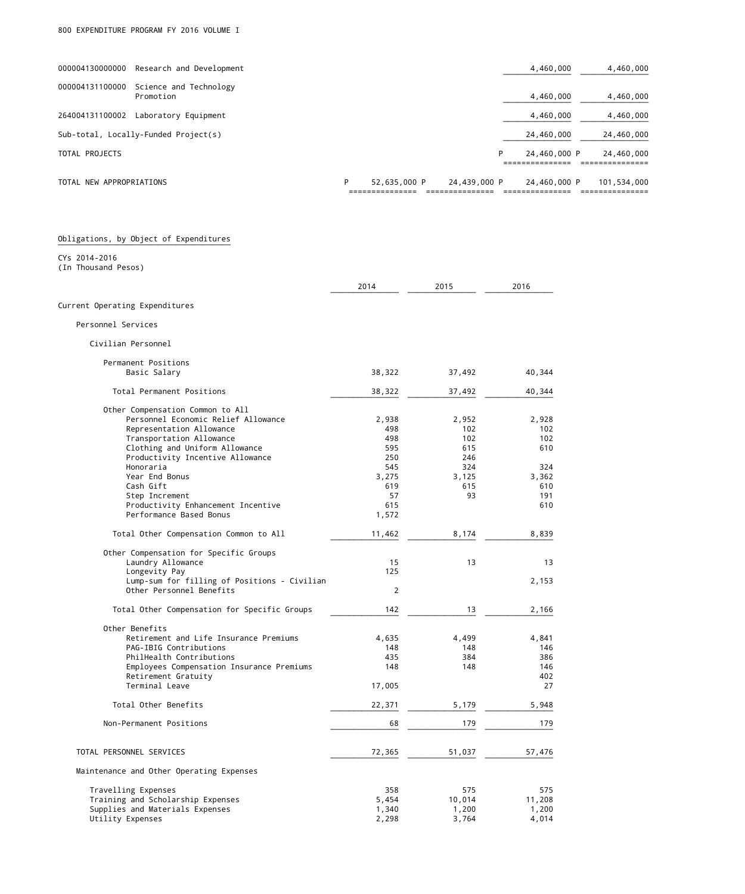| TOTAL NEW APPROPRIATIONS |                                      | P | 52,635,000 P | 24,439,000 P |   | 24,460,000 P | 101,534,000 |
|--------------------------|--------------------------------------|---|--------------|--------------|---|--------------|-------------|
| TOTAL PROJECTS           |                                      |   |              |              | P | 24,460,000 P | 24,460,000  |
|                          | Sub-total, Locally-Funded Project(s) |   |              |              |   | 24,460,000   | 24,460,000  |
| 264004131100002          | Laboratory Equipment                 |   |              |              |   | 4,460,000    | 4,460,000   |
| 000004131100000          | Science and Technology<br>Promotion  |   |              |              |   | 4,460,000    | 4,460,000   |
| 000004130000000          | Research and Development             |   |              |              |   | 4,460,000    | 4,460,000   |
|                          |                                      |   |              |              |   |              |             |

| Obligations, by Object of Expenditures |  |  |  |  |
|----------------------------------------|--|--|--|--|
|----------------------------------------|--|--|--|--|

#### ¯¯¯¯¯¯¯¯¯¯¯¯¯¯¯¯¯¯¯¯¯¯¯¯¯¯¯¯¯¯¯¯¯¯¯¯¯¯ CYs 2014-2016

(In Thousand Pesos)

|                                              | 2014           | 2015   | 2016   |
|----------------------------------------------|----------------|--------|--------|
| Current Operating Expenditures               |                |        |        |
| Personnel Services                           |                |        |        |
| Civilian Personnel                           |                |        |        |
| Permanent Positions                          |                |        |        |
| Basic Salary                                 | 38,322         | 37,492 | 40,344 |
| Total Permanent Positions                    | 38,322         | 37,492 | 40,344 |
| Other Compensation Common to All             |                |        |        |
| Personnel Economic Relief Allowance          | 2,938          | 2,952  | 2,928  |
| Representation Allowance                     | 498            | 102    | 102    |
| Transportation Allowance                     | 498            | 102    | 102    |
| Clothing and Uniform Allowance               | 595            | 615    | 610    |
| Productivity Incentive Allowance             | 250            | 246    |        |
| Honoraria                                    | 545            | 324    | 324    |
| Year End Bonus                               | 3,275          | 3,125  | 3,362  |
|                                              |                |        |        |
| Cash Gift                                    | 619            | 615    | 610    |
| Step Increment                               | 57             | 93     | 191    |
| Productivity Enhancement Incentive           | 615            |        | 610    |
| Performance Based Bonus                      | 1,572          |        |        |
| Total Other Compensation Common to All       | 11,462         | 8,174  | 8,839  |
| Other Compensation for Specific Groups       |                |        |        |
| Laundry Allowance                            | 15             | 13     | 13     |
| Longevity Pay                                | 125            |        |        |
| Lump-sum for filling of Positions - Civilian |                |        | 2,153  |
| Other Personnel Benefits                     | $\overline{2}$ |        |        |
| Total Other Compensation for Specific Groups | 142            | 13     | 2,166  |
| Other Benefits                               |                |        |        |
| Retirement and Life Insurance Premiums       | 4,635          | 4,499  | 4,841  |
| PAG-IBIG Contributions                       | 148            | 148    | 146    |
| PhilHealth Contributions                     | 435            | 384    | 386    |
| Employees Compensation Insurance Premiums    | 148            | 148    | 146    |
| Retirement Gratuity                          |                |        | 402    |
| Terminal Leave                               | 17,005         |        | 27     |
| Total Other Benefits                         | 22,371         | 5,179  | 5,948  |
| Non-Permanent Positions                      | 68             | 179    | 179    |
|                                              |                |        |        |
| TOTAL PERSONNEL SERVICES                     | 72,365         | 51,037 | 57,476 |
| Maintenance and Other Operating Expenses     |                |        |        |
| Travelling Expenses                          | 358            | 575    | 575    |
| Training and Scholarship Expenses            | 5,454          | 10,014 | 11,208 |
| Supplies and Materials Expenses              | 1,340          | 1,200  | 1,200  |
| Utility Expenses                             | 2,298          | 3,764  | 4,014  |
|                                              |                |        |        |